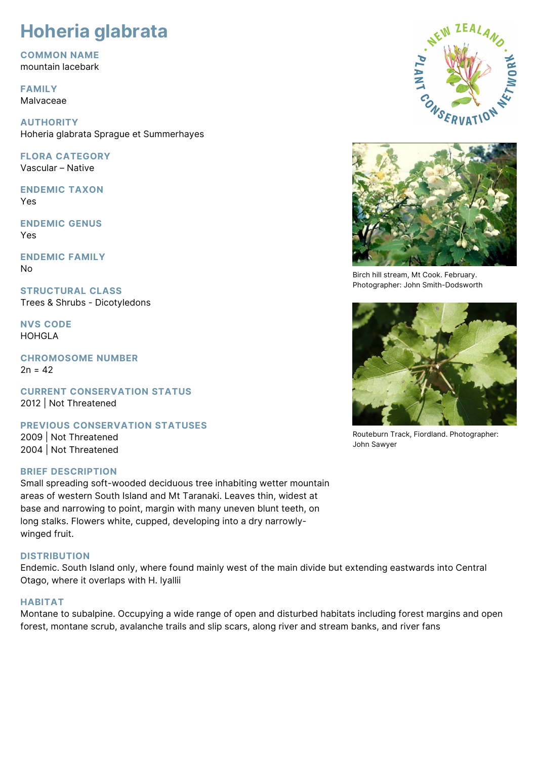# **Hoheria glabrata**

**COMMON NAME**

mountain lacebark

**FAMILY** Malvaceae

**AUTHORITY** Hoheria glabrata Sprague et Summerhayes

**FLORA CATEGORY** Vascular – Native

**ENDEMIC TAXON** Yes

**ENDEMIC GENUS** Yes

**ENDEMIC FAMILY** No

**STRUCTURAL CLASS** Trees & Shrubs - Dicotyledons

**NVS CODE** HOHGLA

**CHROMOSOME NUMBER**  $2n = 42$ 

**CURRENT CONSERVATION STATUS** 2012 | Not Threatened

**PREVIOUS CONSERVATION STATUSES**

2009 | Not Threatened 2004 | Not Threatened

## **BRIEF DESCRIPTION**

Small spreading soft-wooded deciduous tree inhabiting wetter mountain areas of western South Island and Mt Taranaki. Leaves thin, widest at base and narrowing to point, margin with many uneven blunt teeth, on long stalks. Flowers white, cupped, developing into a dry narrowlywinged fruit.

# **DISTRIBUTION**

Endemic. South Island only, where found mainly west of the main divide but extending eastwards into Central Otago, where it overlaps with H. lyallii

# **HABITAT**

Montane to subalpine. Occupying a wide range of open and disturbed habitats including forest margins and open forest, montane scrub, avalanche trails and slip scars, along river and stream banks, and river fans





Birch hill stream, Mt Cook. February. Photographer: John Smith-Dodsworth



Routeburn Track, Fiordland. Photographer: John Sawyer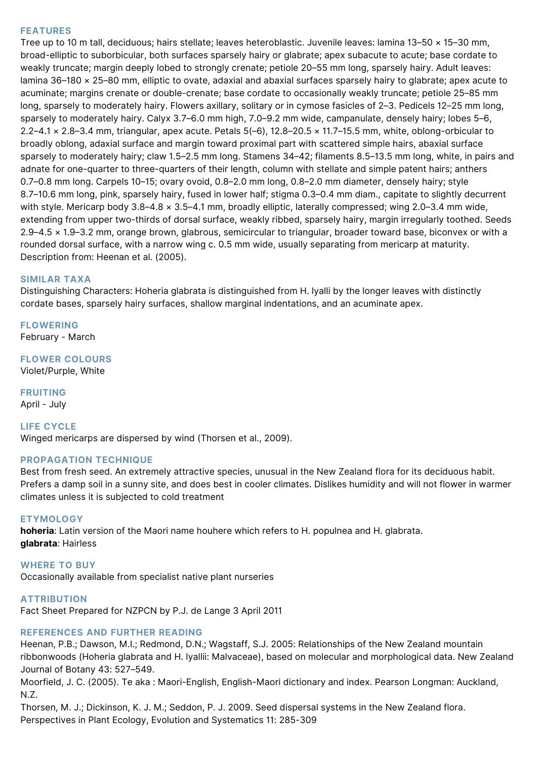### **FEATURES**

Tree up to 10 m tall, deciduous; hairs stellate; leaves heteroblastic. Juvenile leaves: lamina 13–50 × 15–30 mm, broad-elliptic to suborbicular, both surfaces sparsely hairy or glabrate; apex subacute to acute; base cordate to weakly truncate; margin deeply lobed to strongly crenate; petiole 20–55 mm long, sparsely hairy. Adult leaves: lamina 36–180 × 25–80 mm, elliptic to ovate, adaxial and abaxial surfaces sparsely hairy to glabrate; apex acute to acuminate; margins crenate or double-crenate; base cordate to occasionally weakly truncate; petiole 25–85 mm long, sparsely to moderately hairy. Flowers axillary, solitary or in cymose fasicles of 2–3. Pedicels 12–25 mm long, sparsely to moderately hairy. Calyx 3.7–6.0 mm high, 7.0–9.2 mm wide, campanulate, densely hairy; lobes 5–6, 2.2–4.1 × 2.8–3.4 mm, triangular, apex acute. Petals 5(–6), 12.8–20.5 × 11.7–15.5 mm, white, oblong-orbicular to broadly oblong, adaxial surface and margin toward proximal part with scattered simple hairs, abaxial surface sparsely to moderately hairy; claw 1.5–2.5 mm long. Stamens 34–42; filaments 8.5–13.5 mm long, white, in pairs and adnate for one-quarter to three-quarters of their length, column with stellate and simple patent hairs; anthers 0.7–0.8 mm long. Carpels 10–15; ovary ovoid, 0.8–2.0 mm long, 0.8–2.0 mm diameter, densely hairy; style 8.7–10.6 mm long, pink, sparsely hairy, fused in lower half; stigma 0.3–0.4 mm diam., capitate to slightly decurrent with style. Mericarp body 3.8–4.8 × 3.5–4.1 mm, broadly elliptic, laterally compressed; wing 2.0–3.4 mm wide, extending from upper two-thirds of dorsal surface, weakly ribbed, sparsely hairy, margin irregularly toothed. Seeds 2.9–4.5 × 1.9–3.2 mm, orange brown, glabrous, semicircular to triangular, broader toward base, biconvex or with a rounded dorsal surface, with a narrow wing c. 0.5 mm wide, usually separating from mericarp at maturity. Description from: Heenan et al. (2005).

#### **SIMILAR TAXA**

Distinguishing Characters: Hoheria glabrata is distinguished from H. lyalli by the longer leaves with distinctly cordate bases, sparsely hairy surfaces, shallow marginal indentations, and an acuminate apex.

**FLOWERING**

February - March

# **FLOWER COLOURS**

Violet/Purple, White

**FRUITING** April - July

#### **LIFE CYCLE** Winged mericarps are dispersed by wind (Thorsen et al., 2009).

#### **PROPAGATION TECHNIQUE**

Best from fresh seed. An extremely attractive species, unusual in the New Zealand flora for its deciduous habit. Prefers a damp soil in a sunny site, and does best in cooler climates. Dislikes humidity and will not flower in warmer climates unless it is subjected to cold treatment

#### **ETYMOLOGY**

**hoheria**: Latin version of the Maori name houhere which refers to H. populnea and H. glabrata. **glabrata**: Hairless

**WHERE TO BUY**

Occasionally available from specialist native plant nurseries

**ATTRIBUTION** Fact Sheet Prepared for NZPCN by P.J. de Lange 3 April 2011

## **REFERENCES AND FURTHER READING**

Heenan, P.B.; Dawson, M.I.; Redmond, D.N.; Wagstaff, S.J. 2005: Relationships of the New Zealand mountain ribbonwoods (Hoheria glabrata and H. lyallii: Malvaceae), based on molecular and morphological data. New Zealand Journal of Botany 43: 527–549.

Moorfield, J. C. (2005). Te aka : Maori-English, English-Maori dictionary and index. Pearson Longman: Auckland, N.Z.

Thorsen, M. J.; Dickinson, K. J. M.; Seddon, P. J. 2009. Seed dispersal systems in the New Zealand flora. Perspectives in Plant Ecology, Evolution and Systematics 11: 285-309